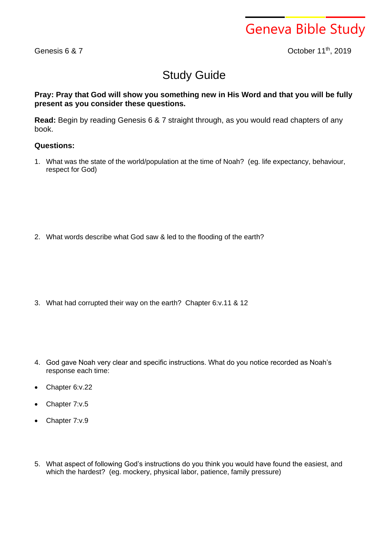Geneva Bible Study

Genesis 6 & 7

October 11<sup>th</sup>, 2019

## Study Guide

## **Pray: Pray that God will show you something new in His Word and that you will be fully present as you consider these questions.**

**Read:** Begin by reading Genesis 6 & 7 straight through, as you would read chapters of any book.

## **Questions:**

1. What was the state of the world/population at the time of Noah? (eg. life expectancy, behaviour, respect for God)

2. What words describe what God saw & led to the flooding of the earth?

- 3. What had corrupted their way on the earth? Chapter 6:v.11 & 12
- 4. God gave Noah very clear and specific instructions. What do you notice recorded as Noah's response each time:
- Chapter 6:v.22
- Chapter 7:v.5
- Chapter 7:v.9
- 5. What aspect of following God's instructions do you think you would have found the easiest, and which the hardest? (eg. mockery, physical labor, patience, family pressure)